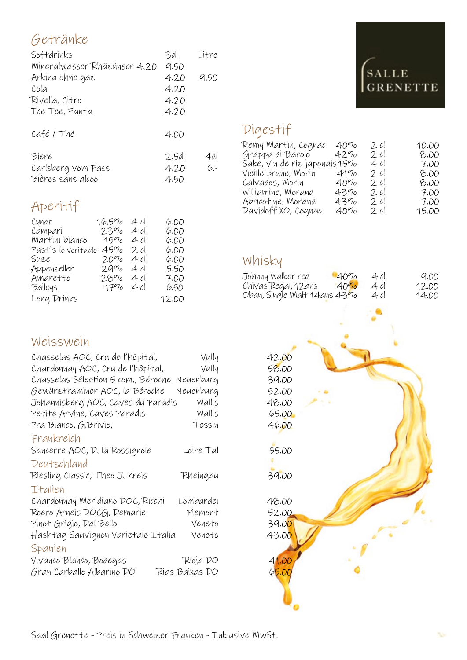## Getränke

| Softdrinks                   | 3dl   | Litre |
|------------------------------|-------|-------|
| Mineralwasser Rhäzünser 4.20 | 9.50  |       |
| Arkina ohne gaz              | 4.20  | 9.50  |
| Cola                         | 4.20  |       |
| Rivella, Citro               | 4.20  |       |
| Ice Tee, Fanta               | 4.20  |       |
| Café/Thé                     | 4.00  |       |
| Biere                        | 2.5dl | 4dl   |
| Carlsberg vom Fass           | 4.20  | $6 -$ |
| Bières sans alcool           | 4.50  |       |

# Aperitif

| Cynar               | $16,5\%$ | 4cl    | 6.00  |
|---------------------|----------|--------|-------|
| Campari             | 23%      | 4cl    | 6.00  |
| Martini bianco      | $15\%$   | 4cl    | 6.00  |
| Pastis le veritable | 45%      | 2cl    | 6.00  |
| Suee                | 2.090    | 4 cl   | 6.00  |
| Appenzeller         | 2990     | 4 cl   | 5.50  |
| Amaretto            | 2890     | 4 cl   | 7.00  |
| Baileys             | $17\%$   | - 4 cl | 6.50  |
| Long Drinks         |          |        | 12.00 |

## Weisswein

| Chasselas AOC, Cru de l'hôpital,    | Vully          | 42.00               |
|-------------------------------------|----------------|---------------------|
| Chardonnay AOC, Cru de l'hôpital,   | Vully          | 58.00               |
| Chasselas Sélection 5 com., Béroche | Neuenburg      | 39.00               |
| Gewürztraminer AOC, la Béroche      | Neuenburg      | 52.00               |
| Johannisberg AOC, Caves du Paradis  | Wallis         | 48.00               |
| Petite Arvine, Caves Paradis        | Wallis         | <b>65.00</b>        |
| Pra Bianco, G.Brivio,               | Tessin         | 46.00               |
| Frankreich                          |                |                     |
| Sancerre AOC, D. la Rossignole      | Loire Tal      | <b>55.00</b>        |
| Deutschland                         |                |                     |
| Riesling Classic, Theo J. Kreis     | Rheingau       | 39.00               |
| Italien                             |                |                     |
| Chardonnay Meridiano DOC, Ricchi    | Lombardei      | 48.00               |
| Roero Arneis DOCG, Demarie          | Piemont        | 52.00               |
| Pinot Grigio, Dal Bello             | Veneto         | 39.0 <mark>0</mark> |
| Hashtag Sauvignon Varietale Italia  | Veneto         | 43.00               |
| Spanien                             |                |                     |
| Vivanco Blanco, Bodegas             | Rioja DO       | 41.00               |
| Gran Carballo Albarino DO           | Rias Baixas DO | 65.00               |

# **SALLE GRENETTE**

## Digestif

| Remy Martin, Cognac           | 40%    | 2 cl | 10.OD |
|-------------------------------|--------|------|-------|
| Grappa di Barolo              | 42%    | 2 cl | B.OD  |
| Sake, vin de riz japonais 15% |        | 4 cl | 7.OO  |
| Vieille prune, Morin          | $41\%$ | 2 cl | B.OD  |
| Calvados, Morin               | $40\%$ | 2cl  | B.OD  |
| Williamine, Morand            | 4390   | 2 cl | 7.OO  |
| Abricotine, Morand            | 4390   | 2 cl | 7.OO  |
| Davidoff XO, Cognac           | $40\%$ | 2 cl | 15.00 |

#### Whisky

| Johnny Walker red            | $40\%$ | 4 cl | 9.DD  |
|------------------------------|--------|------|-------|
| Chivas Regal, 12ans          | $40\%$ | 4 Cl | 12.OO |
| Oban, Single Malt 14ans 4370 |        | 4 cl | 14.00 |